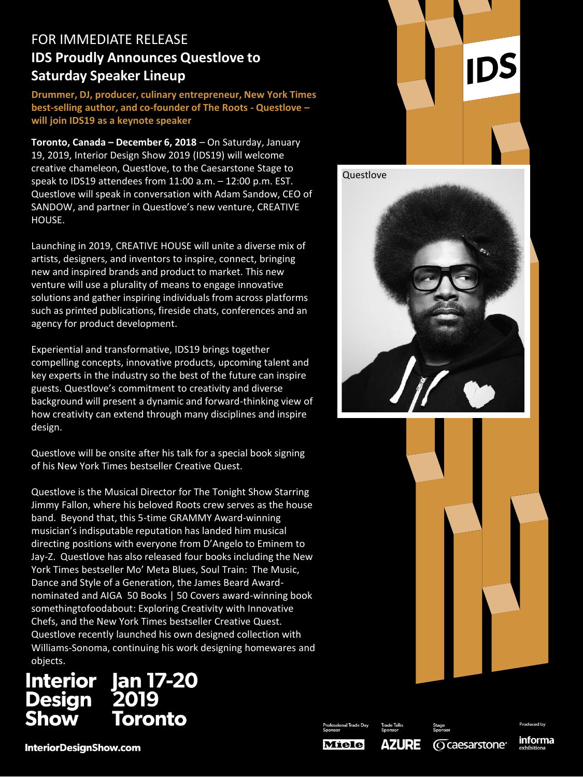# FOR IMMEDIATE RELEASE **IDS Proudly Announces Questlove to Saturday Speaker Lineup**

**Drummer, DJ, producer, culinary entrepreneur, New York Times best-selling author, and co-founder of The Roots - Questlove – will join IDS19 as a keynote speaker**

**Toronto, Canada – December 6, 2018** – On Saturday, January 19, 2019, Interior Design Show 2019 (IDS19) will welcome creative chameleon, Questlove, to the Caesarstone Stage to speak to IDS19 attendees from 11:00 a.m. – 12:00 p.m. EST. Questlove will speak in conversation with Adam Sandow, CEO of SANDOW, and partner in Questlove's new venture, CREATIVE HOUSE.

Launching in 2019, CREATIVE HOUSE will unite a diverse mix of artists, designers, and inventors to inspire, connect, bringing new and inspired brands and product to market. This new venture will use a plurality of means to engage innovative solutions and gather inspiring individuals from across platforms such as printed publications, fireside chats, conferences and an agency for product development.

Experiential and transformative, IDS19 brings together compelling concepts, innovative products, upcoming talent and key experts in the industry so the best of the future can inspire guests. Questlove's commitment to creativity and diverse background will present a dynamic and forward-thinking view of how creativity can extend through many disciplines and inspire design.

Questlove will be onsite after his talk for a special book signing of his New York Times bestseller Creative Quest.

Questlove is the Musical Director for The Tonight Show Starring Jimmy Fallon, where his beloved Roots crew serves as the house band. Beyond that, this 5-time GRAMMY Award-winning musician's indisputable reputation has landed him musical directing positions with everyone from D'Angelo to Eminem to Jay-Z. Questlove has also released four books including the New York Times bestseller Mo' Meta Blues, Soul Train: The Music, Dance and Style of a Generation, the James Beard Awardnominated and AIGA 50 Books | 50 Covers award-winning book somethingtofoodabout: Exploring Creativity with Innovative Chefs, and the New York Times bestseller Creative Quest. Questlove recently launched his own designed collection with Williams-Sonoma, continuing his work designing homewares and Caption objects.

## Jan 17-20<br>2019 **Interior Design** Toronto Show







**O** caesarstone<sup>®</sup>

**Miele** 

**AZURE** 

Produced by informa

**InteriorDesignShow.com**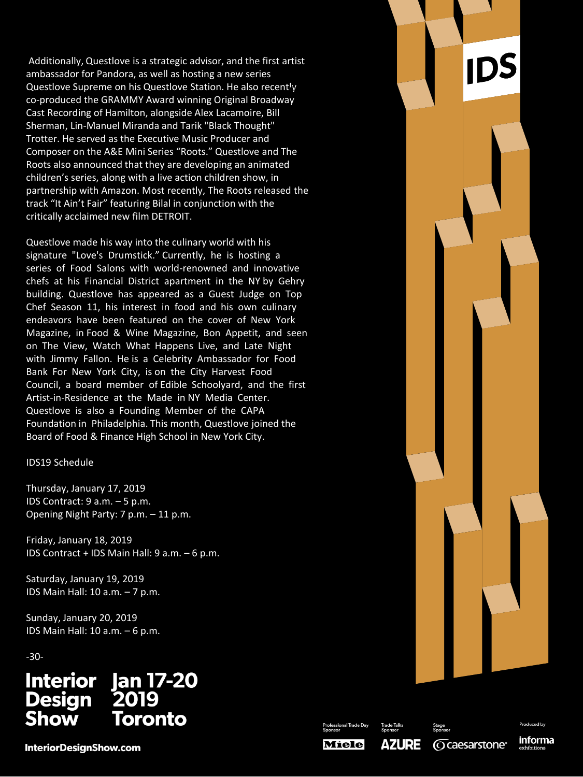Additionally, Questlove is a strategic advisor, and the first artist ambassador for Pandora, as well as hosting a new series Questlove Supreme on his Questlove Station. He also recently co-produced the GRAMMY Award winning Original Broadway Cast Recording of Hamilton, alongside Alex Lacamoire, Bill Sherman, Lin-Manuel Miranda and Tarik "Black Thought" Trotter. He served as the Executive Music Producer and Composer on the A&E Mini Series "Roots." Questlove and The Roots also announced that they are developing an animated children's series, along with a live action children show, in partnership with Amazon. Most recently, The Roots released the track "It Ain't Fair" featuring Bilal in conjunction with the critically acclaimed new film DETROIT.

Questlove made his way into the culinary world with his signature "Love's Drumstick." Currently, he is hosting a series of Food Salons with world-renowned and innovative chefs at his Financial District apartment in the NY by Gehry building. Questlove has appeared as a Guest Judge on Top Chef Season 11, his interest in food and his own culinary endeavors have been featured on the cover of New York Magazine, in Food & Wine Magazine, Bon Appetit, and seen on The View, Watch What Happens Live, and Late Night with Jimmy Fallon. He is a Celebrity Ambassador for Food Bank For New York City, is on the City Harvest Food Council, a board member of Edible Schoolyard, and the first Artist-in-Residence at the Made in NY Media Center. Questlove is also a Founding Member of the CAPA Foundation in Philadelphia. This month, Questlove joined the Board of Food & Finance High School in New York City.

### IDS19 Schedule

Thursday, January 17, 2019 IDS Contract: 9 a.m. – 5 p.m. Opening Night Party: 7 p.m. – 11 p.m.

Friday, January 18, 2019 IDS Contract + IDS Main Hall: 9 a.m. – 6 p.m.

Saturday, January 19, 2019 IDS Main Hall: 10 a.m. – 7 p.m.

Sunday, January 20, 2019 IDS Main Hall: 10 a.m. – 6 p.m.

-30-

#### **Jan 17-20 Interior** 2019 **Design** Show Toronto

**InteriorDesignShow.com** 



Professional Trade Day

**O** caesarstone<sup>®</sup>

informa

**Miele** 

**AZURE**